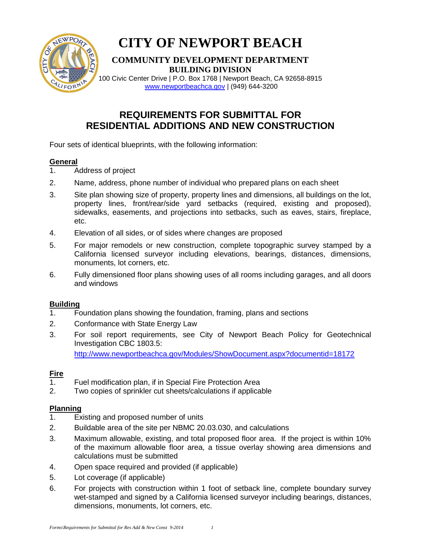

# **CITY OF NEWPORT BEACH**

### **COMMUNITY DEVELOPMENT DEPARTMENT BUILDING DIVISION**

100 Civic Center Drive | P.O. Box 1768 | Newport Beach, CA 92658-8915 [www.newportbeachca.gov](http://www.newportbeachca.gov/) | (949) 644-3200

## **REQUIREMENTS FOR SUBMITTAL FOR RESIDENTIAL ADDITIONS AND NEW CONSTRUCTION**

Four sets of identical blueprints, with the following information:

#### **General**

- 1. Address of project
- 2. Name, address, phone number of individual who prepared plans on each sheet
- 3. Site plan showing size of property, property lines and dimensions, all buildings on the lot, property lines, front/rear/side yard setbacks (required, existing and proposed), sidewalks, easements, and projections into setbacks, such as eaves, stairs, fireplace, etc.
- 4. Elevation of all sides, or of sides where changes are proposed
- 5. For major remodels or new construction, complete topographic survey stamped by a California licensed surveyor including elevations, bearings, distances, dimensions, monuments, lot corners, etc.
- 6. Fully dimensioned floor plans showing uses of all rooms including garages, and all doors and windows

#### **Building**

- 1. Foundation plans showing the foundation, framing, plans and sections
- 2. Conformance with State Energy Law
- 3. For soil report requirements, see City of Newport Beach Policy for Geotechnical Investigation CBC 1803.5:

<http://www.newportbeachca.gov/Modules/ShowDocument.aspx?documentid=18172>

#### **Fire**

- 1. Fuel modification plan, if in Special Fire Protection Area
- 2. Two copies of sprinkler cut sheets/calculations if applicable

#### **Planning**

- 1. Existing and proposed number of units
- 2. Buildable area of the site per NBMC 20.03.030, and calculations
- 3. Maximum allowable, existing, and total proposed floor area. If the project is within 10% of the maximum allowable floor area, a tissue overlay showing area dimensions and calculations must be submitted
- 4. Open space required and provided (if applicable)
- 5. Lot coverage (if applicable)
- 6. For projects with construction within 1 foot of setback line, complete boundary survey wet-stamped and signed by a California licensed surveyor including bearings, distances, dimensions, monuments, lot corners, etc.